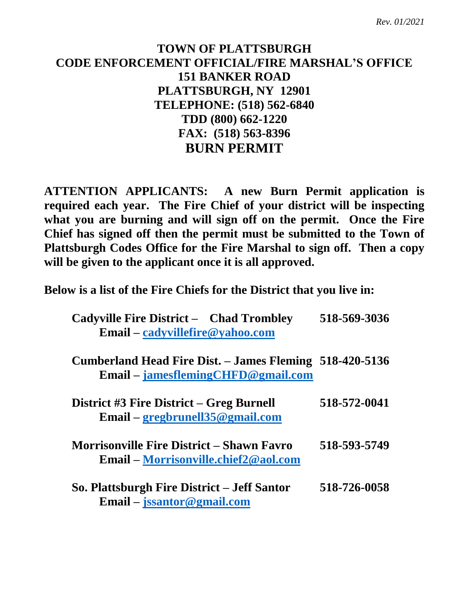## **TOWN OF PLATTSBURGH CODE ENFORCEMENT OFFICIAL/FIRE MARSHAL'S OFFICE 151 BANKER ROAD PLATTSBURGH, NY 12901 TELEPHONE: (518) 562-6840 TDD (800) 662-1220 FAX: (518) 563-8396 BURN PERMIT**

**ATTENTION APPLICANTS: A new Burn Permit application is required each year. The Fire Chief of your district will be inspecting what you are burning and will sign off on the permit. Once the Fire Chief has signed off then the permit must be submitted to the Town of Plattsburgh Codes Office for the Fire Marshal to sign off. Then a copy will be given to the applicant once it is all approved.**

**Below is a list of the Fire Chiefs for the District that you live in:**

| <b>Cadyville Fire District - Chad Trombley</b><br>Email – cadyvillefire@yahoo.com               | 518-569-3036 |
|-------------------------------------------------------------------------------------------------|--------------|
| Cumberland Head Fire Dist. – James Fleming 518-420-5136<br>$Email - jamesflemingCHFD@gmail.com$ |              |
| District #3 Fire District – Greg Burnell<br>Email – gregbrunell $35@$ gmail.com                 | 518-572-0041 |
| <b>Morrisonville Fire District - Shawn Favro</b><br><b>Email – Morrisonville.chief2@aol.com</b> | 518-593-5749 |
| So. Plattsburgh Fire District – Jeff Santor<br>Email – jssantor@gmail.com                       | 518-726-0058 |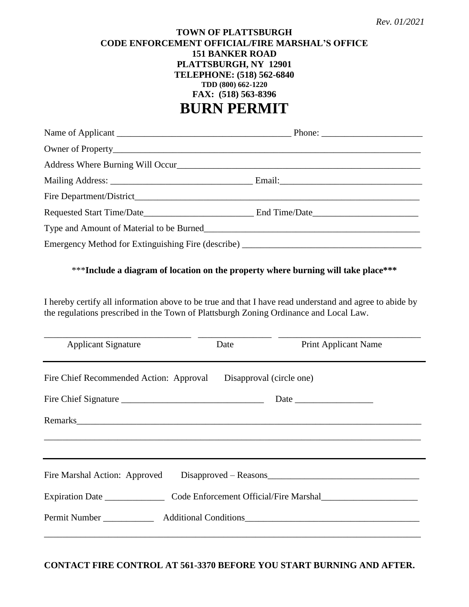## **TOWN OF PLATTSBURGH CODE ENFORCEMENT OFFICIAL/FIRE MARSHAL'S OFFICE 151 BANKER ROAD PLATTSBURGH, NY 12901 TELEPHONE: (518) 562-6840 TDD (800) 662-1220 FAX: (518) 563-8396 BURN PERMIT**

| Emergency Method for Extinguishing Fire (describe) ______________________________ |  |
|-----------------------------------------------------------------------------------|--|

## \*\*\***Include a diagram of location on the property where burning will take place\*\*\***

I hereby certify all information above to be true and that I have read understand and agree to abide by the regulations prescribed in the Town of Plattsburgh Zoning Ordinance and Local Law.

| <b>Applicant Signature</b>              | Date                     | <b>Print Applicant Name</b>            |
|-----------------------------------------|--------------------------|----------------------------------------|
| Fire Chief Recommended Action: Approval | Disapproval (circle one) |                                        |
|                                         |                          |                                        |
|                                         |                          |                                        |
|                                         |                          |                                        |
|                                         |                          |                                        |
| Fire Marshal Action: Approved           |                          | $Disapproved - Reasons$                |
| Expiration Date                         |                          | Code Enforcement Official/Fire Marshal |

**CONTACT FIRE CONTROL AT 561-3370 BEFORE YOU START BURNING AND AFTER.**